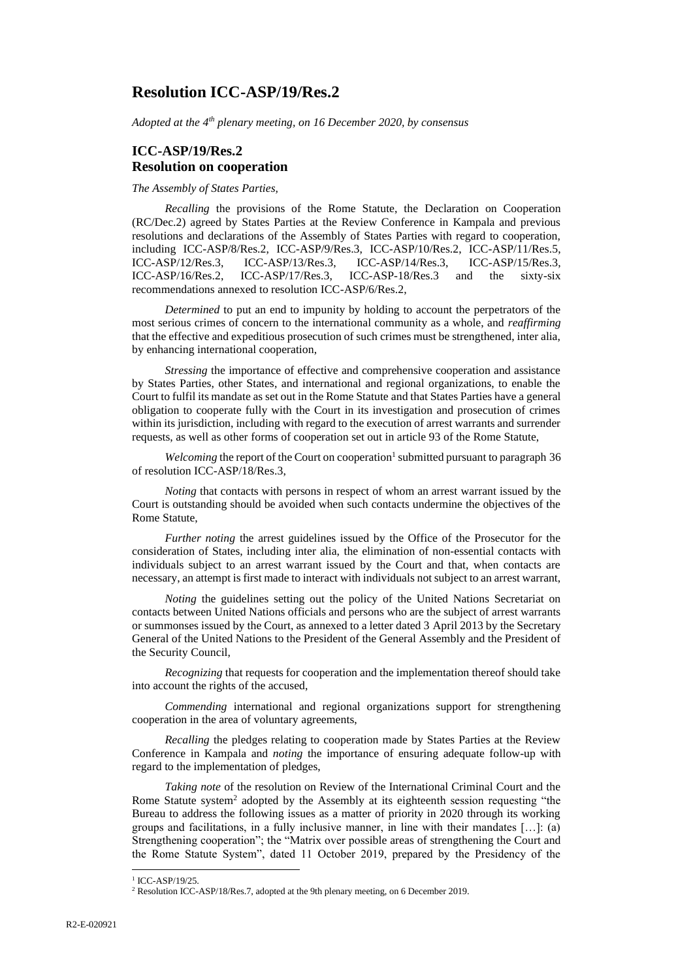# **Resolution ICC-ASP/19/Res.2**

*Adopted at the 4th plenary meeting, on 16 December 2020, by consensus*

## **ICC-ASP/19/Res.2 Resolution on cooperation**

*The Assembly of States Parties,*

*Recalling* the provisions of the Rome Statute, the Declaration on Cooperation (RC/Dec.2) agreed by States Parties at the Review Conference in Kampala and previous resolutions and declarations of the Assembly of States Parties with regard to cooperation, including ICC-ASP/8/Res.2, ICC-ASP/9/Res.3, ICC-ASP/10/Res.2, ICC-ASP/11/Res.5, ICC-ASP/12/Res.3, ICC-ASP/13/Res.3, ICC-ASP/14/Res.3, ICC-ASP/15/Res.3, ICC-ASP/16/Res.2, ICC-ASP/17/Res.3, ICC-ASP-18/Res.3 and the sixty-six recommendations annexed to resolution ICC-ASP/6/Res.2,

*Determined* to put an end to impunity by holding to account the perpetrators of the most serious crimes of concern to the international community as a whole, and *reaffirming*  that the effective and expeditious prosecution of such crimes must be strengthened, inter alia, by enhancing international cooperation,

*Stressing* the importance of effective and comprehensive cooperation and assistance by States Parties, other States, and international and regional organizations, to enable the Court to fulfil its mandate as set out in the Rome Statute and that States Parties have a general obligation to cooperate fully with the Court in its investigation and prosecution of crimes within its jurisdiction, including with regard to the execution of arrest warrants and surrender requests, as well as other forms of cooperation set out in article 93 of the Rome Statute,

Welcoming the report of the Court on cooperation<sup>1</sup> submitted pursuant to paragraph 36 of resolution ICC-ASP/18/Res.3,

*Noting* that contacts with persons in respect of whom an arrest warrant issued by the Court is outstanding should be avoided when such contacts undermine the objectives of the Rome Statute,

*Further noting* the arrest guidelines issued by the Office of the Prosecutor for the consideration of States, including inter alia, the elimination of non-essential contacts with individuals subject to an arrest warrant issued by the Court and that, when contacts are necessary, an attempt is first made to interact with individuals not subject to an arrest warrant,

*Noting* the guidelines setting out the policy of the United Nations Secretariat on contacts between United Nations officials and persons who are the subject of arrest warrants or summonses issued by the Court, as annexed to a letter dated 3 April 2013 by the Secretary General of the United Nations to the President of the General Assembly and the President of the Security Council,

*Recognizing* that requests for cooperation and the implementation thereof should take into account the rights of the accused,

*Commending* international and regional organizations support for strengthening cooperation in the area of voluntary agreements,

*Recalling* the pledges relating to cooperation made by States Parties at the Review Conference in Kampala and *noting* the importance of ensuring adequate follow-up with regard to the implementation of pledges,

*Taking note* of the resolution on Review of the International Criminal Court and the Rome Statute system<sup>2</sup> adopted by the Assembly at its eighteenth session requesting "the Bureau to address the following issues as a matter of priority in 2020 through its working groups and facilitations, in a fully inclusive manner, in line with their mandates  $[\dots]$ : (a) Strengthening cooperation"; the "Matrix over possible areas of strengthening the Court and the Rome Statute System", dated 11 October 2019, prepared by the Presidency of the

<sup>&</sup>lt;sup>1</sup> ICC-ASP/19/25.

<sup>2</sup> Resolution ICC-ASP/18/Res.7, adopted at the 9th plenary meeting, on 6 December 2019.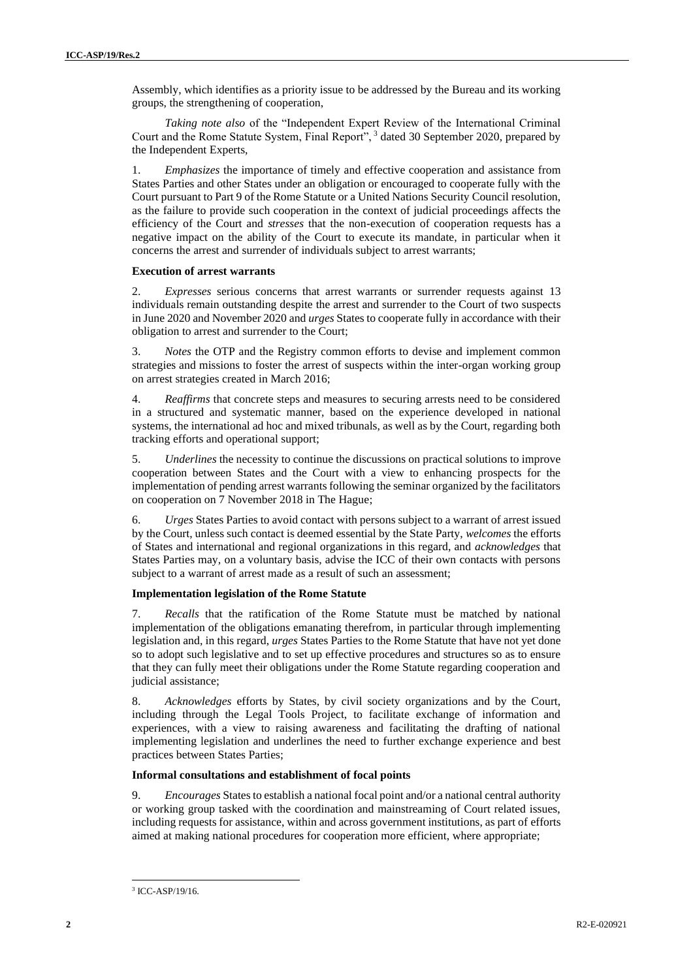Assembly, which identifies as a priority issue to be addressed by the Bureau and its working groups, the strengthening of cooperation,

*Taking note also* of the "Independent Expert Review of the International Criminal Court and the Rome Statute System, Final Report", <sup>3</sup> dated 30 September 2020, prepared by the Independent Experts,

1. *Emphasizes* the importance of timely and effective cooperation and assistance from States Parties and other States under an obligation or encouraged to cooperate fully with the Court pursuant to Part 9 of the Rome Statute or a United Nations Security Council resolution, as the failure to provide such cooperation in the context of judicial proceedings affects the efficiency of the Court and *stresses* that the non-execution of cooperation requests has a negative impact on the ability of the Court to execute its mandate, in particular when it concerns the arrest and surrender of individuals subject to arrest warrants;

### **Execution of arrest warrants**

2. *Expresses* serious concerns that arrest warrants or surrender requests against 13 individuals remain outstanding despite the arrest and surrender to the Court of two suspects in June 2020 and November 2020 and *urges* States to cooperate fully in accordance with their obligation to arrest and surrender to the Court;

3. *Notes* the OTP and the Registry common efforts to devise and implement common strategies and missions to foster the arrest of suspects within the inter-organ working group on arrest strategies created in March 2016;

4. *Reaffirms* that concrete steps and measures to securing arrests need to be considered in a structured and systematic manner, based on the experience developed in national systems, the international ad hoc and mixed tribunals, as well as by the Court, regarding both tracking efforts and operational support;

5. *Underlines* the necessity to continue the discussions on practical solutions to improve cooperation between States and the Court with a view to enhancing prospects for the implementation of pending arrest warrants following the seminar organized by the facilitators on cooperation on 7 November 2018 in The Hague;

6. *Urges* States Parties to avoid contact with persons subject to a warrant of arrest issued by the Court, unless such contact is deemed essential by the State Party, *welcomes* the efforts of States and international and regional organizations in this regard, and *acknowledges* that States Parties may, on a voluntary basis, advise the ICC of their own contacts with persons subject to a warrant of arrest made as a result of such an assessment;

## **Implementation legislation of the Rome Statute**

7. *Recalls* that the ratification of the Rome Statute must be matched by national implementation of the obligations emanating therefrom, in particular through implementing legislation and, in this regard, *urges* States Parties to the Rome Statute that have not yet done so to adopt such legislative and to set up effective procedures and structures so as to ensure that they can fully meet their obligations under the Rome Statute regarding cooperation and judicial assistance;

8. *Acknowledges* efforts by States, by civil society organizations and by the Court, including through the Legal Tools Project, to facilitate exchange of information and experiences, with a view to raising awareness and facilitating the drafting of national implementing legislation and underlines the need to further exchange experience and best practices between States Parties;

## **Informal consultations and establishment of focal points**

9. *Encourages* States to establish a national focal point and/or a national central authority or working group tasked with the coordination and mainstreaming of Court related issues, including requests for assistance, within and across government institutions, as part of efforts aimed at making national procedures for cooperation more efficient, where appropriate;

<sup>3</sup> ICC-ASP/19/16.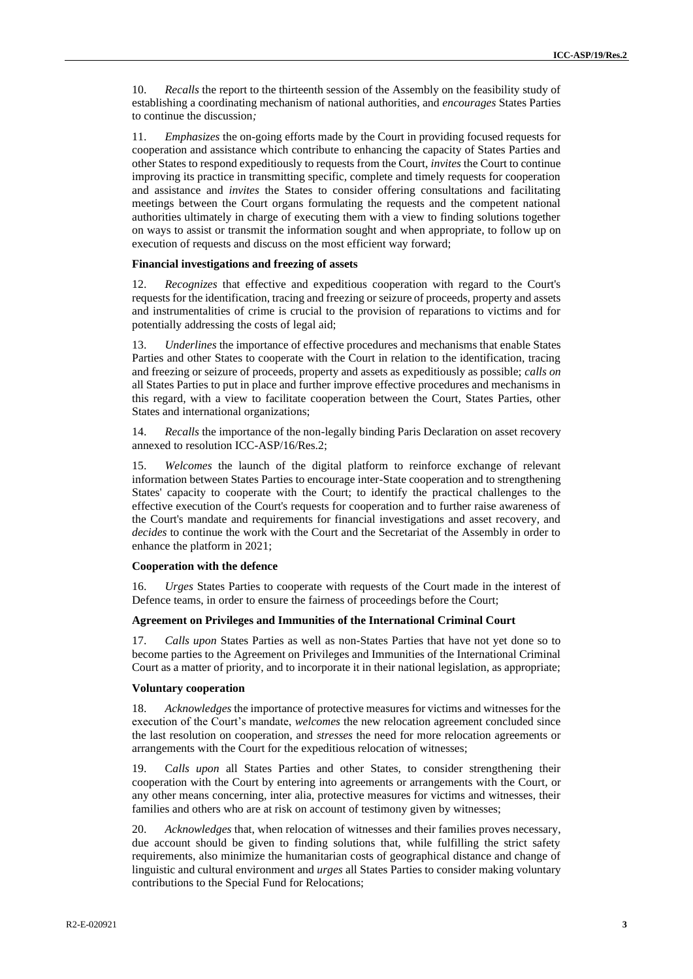10. *Recalls* the report to the thirteenth session of the Assembly on the feasibility study of establishing a coordinating mechanism of national authorities, and *encourages* States Parties to continue the discussion*;*

11. *Emphasizes* the on-going efforts made by the Court in providing focused requests for cooperation and assistance which contribute to enhancing the capacity of States Parties and other States to respond expeditiously to requests from the Court, *invites* the Court to continue improving its practice in transmitting specific, complete and timely requests for cooperation and assistance and *invites* the States to consider offering consultations and facilitating meetings between the Court organs formulating the requests and the competent national authorities ultimately in charge of executing them with a view to finding solutions together on ways to assist or transmit the information sought and when appropriate, to follow up on execution of requests and discuss on the most efficient way forward;

#### **Financial investigations and freezing of assets**

12. *Recognizes* that effective and expeditious cooperation with regard to the Court's requests for the identification, tracing and freezing or seizure of proceeds, property and assets and instrumentalities of crime is crucial to the provision of reparations to victims and for potentially addressing the costs of legal aid;

13. *Underlines* the importance of effective procedures and mechanisms that enable States Parties and other States to cooperate with the Court in relation to the identification, tracing and freezing or seizure of proceeds, property and assets as expeditiously as possible; *calls on*  all States Parties to put in place and further improve effective procedures and mechanisms in this regard, with a view to facilitate cooperation between the Court, States Parties, other States and international organizations;

14. *Recalls* the importance of the non-legally binding Paris Declaration on asset recovery annexed to resolution ICC-ASP/16/Res.2;

15. *Welcomes* the launch of the digital platform to reinforce exchange of relevant information between States Parties to encourage inter-State cooperation and to strengthening States' capacity to cooperate with the Court; to identify the practical challenges to the effective execution of the Court's requests for cooperation and to further raise awareness of the Court's mandate and requirements for financial investigations and asset recovery, and *decides* to continue the work with the Court and the Secretariat of the Assembly in order to enhance the platform in 2021;

#### **Cooperation with the defence**

16. *Urges* States Parties to cooperate with requests of the Court made in the interest of Defence teams, in order to ensure the fairness of proceedings before the Court;

#### **Agreement on Privileges and Immunities of the International Criminal Court**

17. *Calls upon* States Parties as well as non-States Parties that have not yet done so to become parties to the Agreement on Privileges and Immunities of the International Criminal Court as a matter of priority, and to incorporate it in their national legislation, as appropriate;

#### **Voluntary cooperation**

18. *Acknowledges* the importance of protective measures for victims and witnesses for the execution of the Court's mandate, *welcomes* the new relocation agreement concluded since the last resolution on cooperation, and *stresses* the need for more relocation agreements or arrangements with the Court for the expeditious relocation of witnesses;

19. C*alls upon* all States Parties and other States, to consider strengthening their cooperation with the Court by entering into agreements or arrangements with the Court, or any other means concerning, inter alia, protective measures for victims and witnesses, their families and others who are at risk on account of testimony given by witnesses;

20. *Acknowledges* that, when relocation of witnesses and their families proves necessary, due account should be given to finding solutions that, while fulfilling the strict safety requirements, also minimize the humanitarian costs of geographical distance and change of linguistic and cultural environment and *urges* all States Parties to consider making voluntary contributions to the Special Fund for Relocations;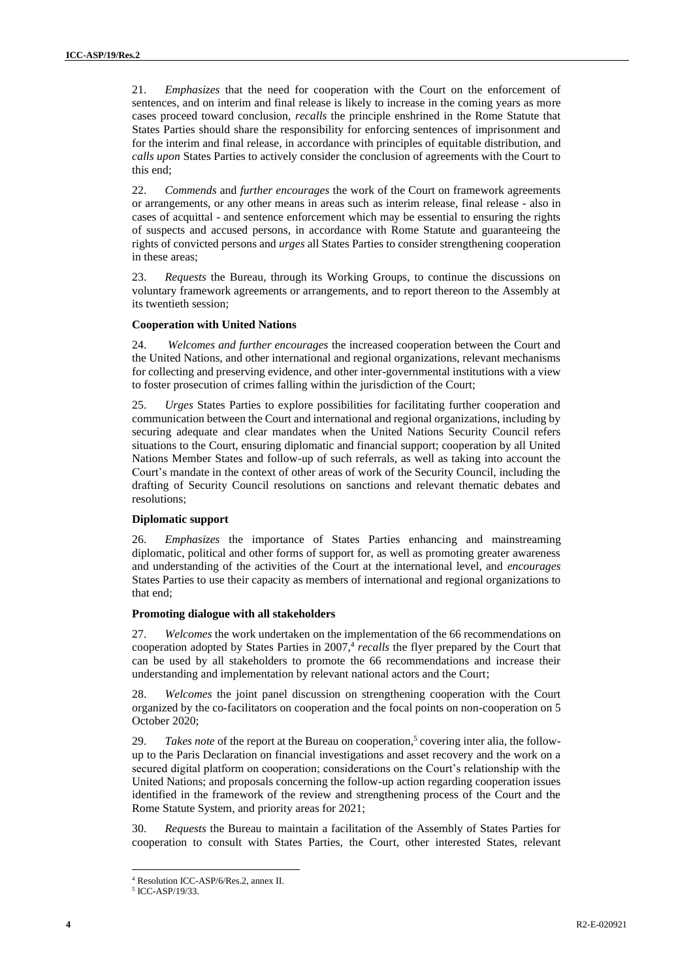21. *Emphasizes* that the need for cooperation with the Court on the enforcement of sentences, and on interim and final release is likely to increase in the coming years as more cases proceed toward conclusion, *recalls* the principle enshrined in the Rome Statute that States Parties should share the responsibility for enforcing sentences of imprisonment and for the interim and final release, in accordance with principles of equitable distribution, and *calls upon* States Parties to actively consider the conclusion of agreements with the Court to this end;

22. *Commends* and *further encourages* the work of the Court on framework agreements or arrangements, or any other means in areas such as interim release, final release - also in cases of acquittal - and sentence enforcement which may be essential to ensuring the rights of suspects and accused persons, in accordance with Rome Statute and guaranteeing the rights of convicted persons and *urges* all States Parties to consider strengthening cooperation in these areas;

23. *Requests* the Bureau, through its Working Groups, to continue the discussions on voluntary framework agreements or arrangements, and to report thereon to the Assembly at its twentieth session;

#### **Cooperation with United Nations**

24. *Welcomes and further encourages* the increased cooperation between the Court and the United Nations, and other international and regional organizations, relevant mechanisms for collecting and preserving evidence, and other inter-governmental institutions with a view to foster prosecution of crimes falling within the jurisdiction of the Court;

25. *Urges* States Parties to explore possibilities for facilitating further cooperation and communication between the Court and international and regional organizations, including by securing adequate and clear mandates when the United Nations Security Council refers situations to the Court, ensuring diplomatic and financial support; cooperation by all United Nations Member States and follow-up of such referrals, as well as taking into account the Court's mandate in the context of other areas of work of the Security Council, including the drafting of Security Council resolutions on sanctions and relevant thematic debates and resolutions;

#### **Diplomatic support**

26. *Emphasizes* the importance of States Parties enhancing and mainstreaming diplomatic, political and other forms of support for, as well as promoting greater awareness and understanding of the activities of the Court at the international level, and *encourages*  States Parties to use their capacity as members of international and regional organizations to that end;

#### **Promoting dialogue with all stakeholders**

27. *Welcomes* the work undertaken on the implementation of the 66 recommendations on cooperation adopted by States Parties in 2007,<sup>4</sup> recalls the flyer prepared by the Court that can be used by all stakeholders to promote the 66 recommendations and increase their understanding and implementation by relevant national actors and the Court;

28. *Welcomes* the joint panel discussion on strengthening cooperation with the Court organized by the co-facilitators on cooperation and the focal points on non-cooperation on 5 October 2020;

29. *Takes note* of the report at the Bureau on cooperation, 5 covering inter alia, the followup to the Paris Declaration on financial investigations and asset recovery and the work on a secured digital platform on cooperation; considerations on the Court's relationship with the United Nations; and proposals concerning the follow-up action regarding cooperation issues identified in the framework of the review and strengthening process of the Court and the Rome Statute System, and priority areas for 2021;

30. *Requests* the Bureau to maintain a facilitation of the Assembly of States Parties for cooperation to consult with States Parties, the Court, other interested States, relevant

<sup>4</sup> Resolution ICC-ASP/6/Res.2, annex II.

<sup>5</sup> ICC-ASP/19/33.